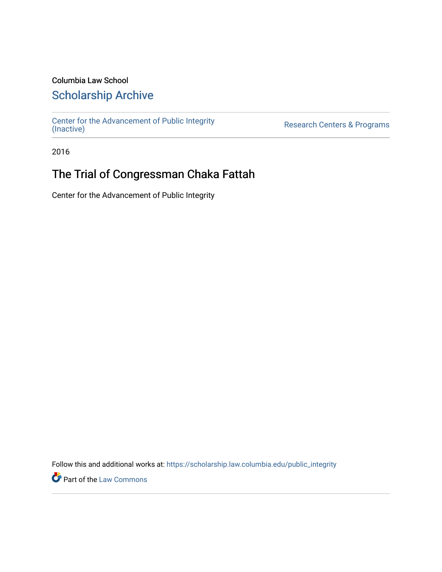### Columbia Law School

## [Scholarship Archive](https://scholarship.law.columbia.edu/)

[Center for the Advancement of Public Integrity](https://scholarship.law.columbia.edu/public_integrity)<br>(Inactive)

Research Centers & Programs

2016

# The Trial of Congressman Chaka Fattah

Center for the Advancement of Public Integrity

Follow this and additional works at: [https://scholarship.law.columbia.edu/public\\_integrity](https://scholarship.law.columbia.edu/public_integrity?utm_source=scholarship.law.columbia.edu%2Fpublic_integrity%2F86&utm_medium=PDF&utm_campaign=PDFCoverPages)

**Part of the [Law Commons](http://network.bepress.com/hgg/discipline/578?utm_source=scholarship.law.columbia.edu%2Fpublic_integrity%2F86&utm_medium=PDF&utm_campaign=PDFCoverPages)**